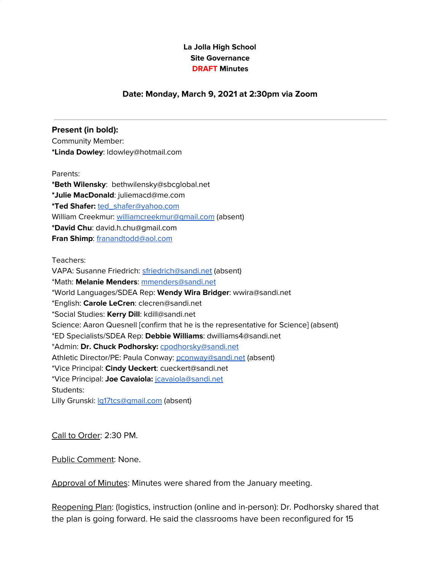# **La Jolla High School Site Governance DRAFT Minutes**

#### **Date: Monday, March 9, 2021 at 2:30pm via Zoom**

**Present (in bold):** Community Member: **\*Linda Dowley**: ldowley@hotmail.com

Parents:

**\*Beth Wilensky**: bethwilensky@sbcglobal.net **\*Julie MacDonald**: juliemacd@me.com **\*Ted Shafer:** [ted\\_shafer@yahoo.com](mailto:ted_shafer@yahoo.com) William Creekmur: [williamcreekmur@gmail.com](mailto:williamcreekmur@gmail.com) (absent) **\*David Chu**: [david.h.chu@gmail.com](mailto:david.h.chu@gmail.com) **Fran Shimp**: [franandtodd@aol.com](mailto:franandtodd@aol.com)

Teachers:

VAPA: Susanne Friedrich: [sfriedrich@sandi.net](mailto:sfriedrich@sandi.net) (absent) \*Math: **Melanie Menders**: [mmenders@sandi.net](mailto:mmenders@sandi.net) \*World Languages/SDEA Rep: **Wendy Wira Bridger**: wwira@sandi.net \*English: **Carole LeCren**: clecren@sandi.net \*Social Studies: **Kerry Dill**: kdill@sandi.net Science: Aaron Quesnell [confirm that he is the representative for Science] (absent) \*ED Specialists/SDEA Rep: **Debbie Williams**: dwilliams4@sandi.net \*Admin: **Dr. Chuck Podhorsky:** [cpodhorsky@sandi.net](mailto:cpodhorsky@sandi.net) Athletic Director/PE: Paula Conway: [pconway@sandi.net](mailto:pconway@sandi.net) (absent) \*Vice Principal: **Cindy Ueckert**: cueckert@sandi.net \*Vice Principal: **Joe Cavaiola:** [jcavaiola@sandi.net](mailto:jcavaiola@sandi.net) Students:

Lilly Grunski: la17tcs@qmail.com (absent)

Call to Order: 2:30 PM.

Public Comment: None.

Approval of Minutes: Minutes were shared from the January meeting.

Reopening Plan: (logistics, instruction (online and in-person): Dr. Podhorsky shared that the plan is going forward. He said the classrooms have been reconfigured for 15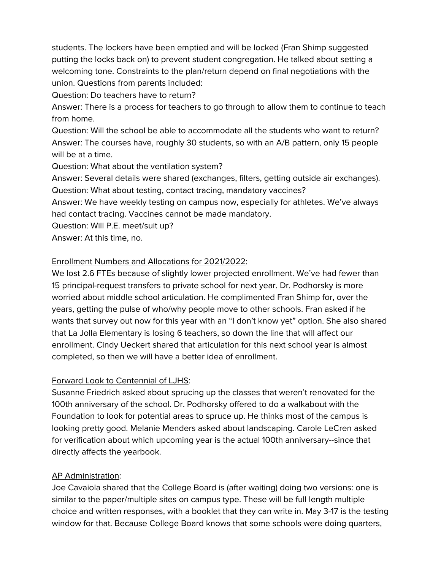students. The lockers have been emptied and will be locked (Fran Shimp suggested putting the locks back on) to prevent student congregation. He talked about setting a welcoming tone. Constraints to the plan/return depend on final negotiations with the union. Questions from parents included:

Question: Do teachers have to return?

Answer: There is a process for teachers to go through to allow them to continue to teach from home.

Question: Will the school be able to accommodate all the students who want to return? Answer: The courses have, roughly 30 students, so with an A/B pattern, only 15 people will be at a time.

Question: What about the ventilation system?

Answer: Several details were shared (exchanges, filters, getting outside air exchanges). Question: What about testing, contact tracing, mandatory vaccines?

Answer: We have weekly testing on campus now, especially for athletes. We've always had contact tracing. Vaccines cannot be made mandatory.

Question: Will P.E. meet/suit up?

Answer: At this time, no.

# Enrollment Numbers and Allocations for 2021/2022:

We lost 2.6 FTEs because of slightly lower projected enrollment. We've had fewer than 15 principal-request transfers to private school for next year. Dr. Podhorsky is more worried about middle school articulation. He complimented Fran Shimp for, over the years, getting the pulse of who/why people move to other schools. Fran asked if he wants that survey out now for this year with an "I don't know yet" option. She also shared that La Jolla Elementary is losing 6 teachers, so down the line that will affect our enrollment. Cindy Ueckert shared that articulation for this next school year is almost completed, so then we will have a better idea of enrollment.

# Forward Look to Centennial of LJHS:

Susanne Friedrich asked about sprucing up the classes that weren't renovated for the 100th anniversary of the school. Dr. Podhorsky offered to do a walkabout with the Foundation to look for potential areas to spruce up. He thinks most of the campus is looking pretty good. Melanie Menders asked about landscaping. Carole LeCren asked for verification about which upcoming year is the actual 100th anniversary--since that directly affects the yearbook.

# AP Administration:

Joe Cavaiola shared that the College Board is (after waiting) doing two versions: one is similar to the paper/multiple sites on campus type. These will be full length multiple choice and written responses, with a booklet that they can write in. May 3-17 is the testing window for that. Because College Board knows that some schools were doing quarters,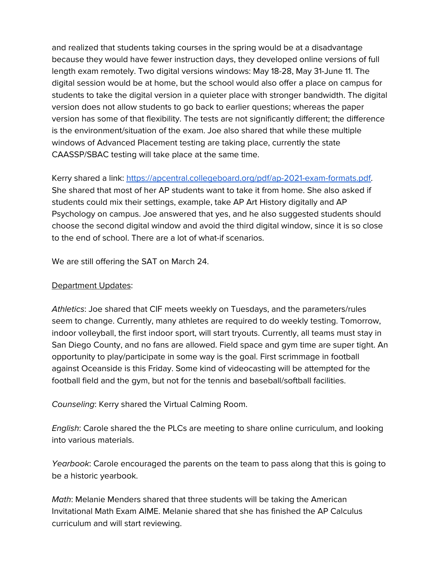and realized that students taking courses in the spring would be at a disadvantage because they would have fewer instruction days, they developed online versions of full length exam remotely. Two digital versions windows: May 18-28, May 31-June 11. The digital session would be at home, but the school would also offer a place on campus for students to take the digital version in a quieter place with stronger bandwidth. The digital version does not allow students to go back to earlier questions; whereas the paper version has some of that flexibility. The tests are not significantly different; the difference is the environment/situation of the exam. Joe also shared that while these multiple windows of Advanced Placement testing are taking place, currently the state CAASSP/SBAC testing will take place at the same time.

Kerry shared a link: [https://apcentral.collegeboard.org/pdf/ap-2021-exam-formats.pdf.](https://apcentral.collegeboard.org/pdf/ap-2021-exam-formats.pdf) She shared that most of her AP students want to take it from home. She also asked if students could mix their settings, example, take AP Art History digitally and AP Psychology on campus. Joe answered that yes, and he also suggested students should choose the second digital window and avoid the third digital window, since it is so close to the end of school. There are a lot of what-if scenarios.

We are still offering the SAT on March 24.

# Department Updates:

Athletics: Joe shared that CIF meets weekly on Tuesdays, and the parameters/rules seem to change. Currently, many athletes are required to do weekly testing. Tomorrow, indoor volleyball, the first indoor sport, will start tryouts. Currently, all teams must stay in San Diego County, and no fans are allowed. Field space and gym time are super tight. An opportunity to play/participate in some way is the goal. First scrimmage in football against Oceanside is this Friday. Some kind of videocasting will be attempted for the football field and the gym, but not for the tennis and baseball/softball facilities.

Counseling: Kerry shared the Virtual Calming Room.

English: Carole shared the the PLCs are meeting to share online curriculum, and looking into various materials.

Yearbook: Carole encouraged the parents on the team to pass along that this is going to be a historic yearbook.

Math: Melanie Menders shared that three students will be taking the American Invitational Math Exam AIME. Melanie shared that she has finished the AP Calculus curriculum and will start reviewing.